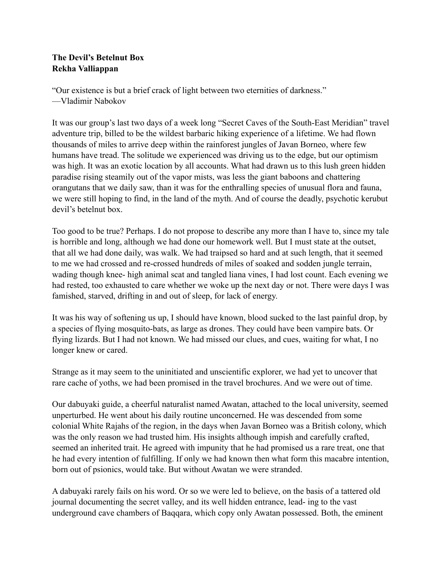## **The Devil's Betelnut Box Rekha Valliappan**

"Our existence is but a brief crack of light between two eternities of darkness." —Vladimir Nabokov

It was our group's last two days of a week long "Secret Caves of the South-East Meridian" travel adventure trip, billed to be the wildest barbaric hiking experience of a lifetime. We had flown thousands of miles to arrive deep within the rainforest jungles of Javan Borneo, where few humans have tread. The solitude we experienced was driving us to the edge, but our optimism was high. It was an exotic location by all accounts. What had drawn us to this lush green hidden paradise rising steamily out of the vapor mists, was less the giant baboons and chattering orangutans that we daily saw, than it was for the enthralling species of unusual flora and fauna, we were still hoping to find, in the land of the myth. And of course the deadly, psychotic kerubut devil's betelnut box.

Too good to be true? Perhaps. I do not propose to describe any more than I have to, since my tale is horrible and long, although we had done our homework well. But I must state at the outset, that all we had done daily, was walk. We had traipsed so hard and at such length, that it seemed to me we had crossed and re-crossed hundreds of miles of soaked and sodden jungle terrain, wading though knee- high animal scat and tangled liana vines, I had lost count. Each evening we had rested, too exhausted to care whether we woke up the next day or not. There were days I was famished, starved, drifting in and out of sleep, for lack of energy.

It was his way of softening us up, I should have known, blood sucked to the last painful drop, by a species of flying mosquito-bats, as large as drones. They could have been vampire bats. Or flying lizards. But I had not known. We had missed our clues, and cues, waiting for what, I no longer knew or cared.

Strange as it may seem to the uninitiated and unscientific explorer, we had yet to uncover that rare cache of yoths, we had been promised in the travel brochures. And we were out of time.

Our dabuyaki guide, a cheerful naturalist named Awatan, attached to the local university, seemed unperturbed. He went about his daily routine unconcerned. He was descended from some colonial White Rajahs of the region, in the days when Javan Borneo was a British colony, which was the only reason we had trusted him. His insights although impish and carefully crafted, seemed an inherited trait. He agreed with impunity that he had promised us a rare treat, one that he had every intention of fulfilling. If only we had known then what form this macabre intention, born out of psionics, would take. But without Awatan we were stranded.

A dabuyaki rarely fails on his word. Or so we were led to believe, on the basis of a tattered old journal documenting the secret valley, and its well hidden entrance, lead- ing to the vast underground cave chambers of Baqqara, which copy only Awatan possessed. Both, the eminent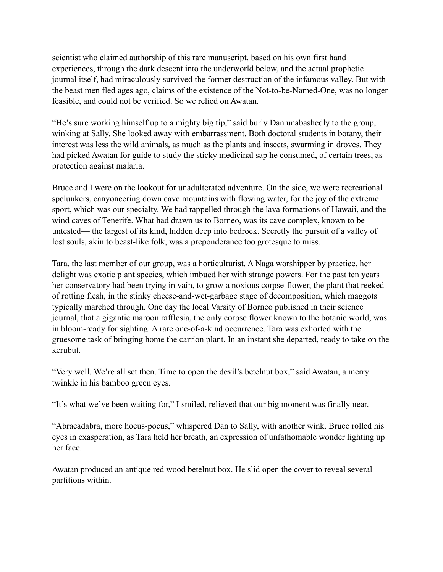scientist who claimed authorship of this rare manuscript, based on his own first hand experiences, through the dark descent into the underworld below, and the actual prophetic journal itself, had miraculously survived the former destruction of the infamous valley. But with the beast men fled ages ago, claims of the existence of the Not-to-be-Named-One, was no longer feasible, and could not be verified. So we relied on Awatan.

"He's sure working himself up to a mighty big tip," said burly Dan unabashedly to the group, winking at Sally. She looked away with embarrassment. Both doctoral students in botany, their interest was less the wild animals, as much as the plants and insects, swarming in droves. They had picked Awatan for guide to study the sticky medicinal sap he consumed, of certain trees, as protection against malaria.

Bruce and I were on the lookout for unadulterated adventure. On the side, we were recreational spelunkers, canyoneering down cave mountains with flowing water, for the joy of the extreme sport, which was our specialty. We had rappelled through the lava formations of Hawaii, and the wind caves of Tenerife. What had drawn us to Borneo, was its cave complex, known to be untested— the largest of its kind, hidden deep into bedrock. Secretly the pursuit of a valley of lost souls, akin to beast-like folk, was a preponderance too grotesque to miss.

Tara, the last member of our group, was a horticulturist. A Naga worshipper by practice, her delight was exotic plant species, which imbued her with strange powers. For the past ten years her conservatory had been trying in vain, to grow a noxious corpse-flower, the plant that reeked of rotting flesh, in the stinky cheese-and-wet-garbage stage of decomposition, which maggots typically marched through. One day the local Varsity of Borneo published in their science journal, that a gigantic maroon rafflesia, the only corpse flower known to the botanic world, was in bloom-ready for sighting. A rare one-of-a-kind occurrence. Tara was exhorted with the gruesome task of bringing home the carrion plant. In an instant she departed, ready to take on the kerubut.

"Very well. We're all set then. Time to open the devil's betelnut box," said Awatan, a merry twinkle in his bamboo green eyes.

"It's what we've been waiting for," I smiled, relieved that our big moment was finally near.

"Abracadabra, more hocus-pocus," whispered Dan to Sally, with another wink. Bruce rolled his eyes in exasperation, as Tara held her breath, an expression of unfathomable wonder lighting up her face.

Awatan produced an antique red wood betelnut box. He slid open the cover to reveal several partitions within.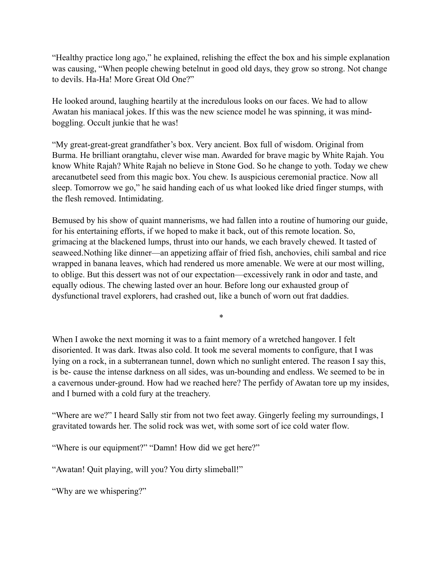"Healthy practice long ago," he explained, relishing the effect the box and his simple explanation was causing, "When people chewing betelnut in good old days, they grow so strong. Not change to devils. Ha-Ha! More Great Old One?"

He looked around, laughing heartily at the incredulous looks on our faces. We had to allow Awatan his maniacal jokes. If this was the new science model he was spinning, it was mindboggling. Occult junkie that he was!

"My great-great-great grandfather's box. Very ancient. Box full of wisdom. Original from Burma. He brilliant orangtahu, clever wise man. Awarded for brave magic by White Rajah. You know White Rajah? White Rajah no believe in Stone God. So he change to yoth. Today we chew arecanutbetel seed from this magic box. You chew. Is auspicious ceremonial practice. Now all sleep. Tomorrow we go," he said handing each of us what looked like dried finger stumps, with the flesh removed. Intimidating.

Bemused by his show of quaint mannerisms, we had fallen into a routine of humoring our guide, for his entertaining efforts, if we hoped to make it back, out of this remote location. So, grimacing at the blackened lumps, thrust into our hands, we each bravely chewed. It tasted of seaweed.Nothing like dinner—an appetizing affair of fried fish, anchovies, chili sambal and rice wrapped in banana leaves, which had rendered us more amenable. We were at our most willing, to oblige. But this dessert was not of our expectation—excessively rank in odor and taste, and equally odious. The chewing lasted over an hour. Before long our exhausted group of dysfunctional travel explorers, had crashed out, like a bunch of worn out frat daddies.

When I awoke the next morning it was to a faint memory of a wretched hangover. I felt disoriented. It was dark. Itwas also cold. It took me several moments to configure, that I was lying on a rock, in a subterranean tunnel, down which no sunlight entered. The reason I say this, is be- cause the intense darkness on all sides, was un-bounding and endless. We seemed to be in a cavernous under-ground. How had we reached here? The perfidy of Awatan tore up my insides, and I burned with a cold fury at the treachery.

\*

"Where are we?" I heard Sally stir from not two feet away. Gingerly feeling my surroundings, I gravitated towards her. The solid rock was wet, with some sort of ice cold water flow.

"Where is our equipment?" "Damn! How did we get here?"

"Awatan! Quit playing, will you? You dirty slimeball!"

"Why are we whispering?"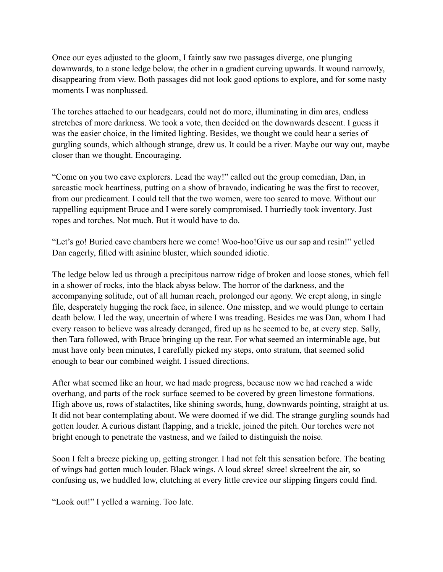Once our eyes adjusted to the gloom, I faintly saw two passages diverge, one plunging downwards, to a stone ledge below, the other in a gradient curving upwards. It wound narrowly, disappearing from view. Both passages did not look good options to explore, and for some nasty moments I was nonplussed.

The torches attached to our headgears, could not do more, illuminating in dim arcs, endless stretches of more darkness. We took a vote, then decided on the downwards descent. I guess it was the easier choice, in the limited lighting. Besides, we thought we could hear a series of gurgling sounds, which although strange, drew us. It could be a river. Maybe our way out, maybe closer than we thought. Encouraging.

"Come on you two cave explorers. Lead the way!" called out the group comedian, Dan, in sarcastic mock heartiness, putting on a show of bravado, indicating he was the first to recover, from our predicament. I could tell that the two women, were too scared to move. Without our rappelling equipment Bruce and I were sorely compromised. I hurriedly took inventory. Just ropes and torches. Not much. But it would have to do.

"Let's go! Buried cave chambers here we come! Woo-hoo!Give us our sap and resin!" yelled Dan eagerly, filled with asinine bluster, which sounded idiotic.

The ledge below led us through a precipitous narrow ridge of broken and loose stones, which fell in a shower of rocks, into the black abyss below. The horror of the darkness, and the accompanying solitude, out of all human reach, prolonged our agony. We crept along, in single file, desperately hugging the rock face, in silence. One misstep, and we would plunge to certain death below. I led the way, uncertain of where I was treading. Besides me was Dan, whom I had every reason to believe was already deranged, fired up as he seemed to be, at every step. Sally, then Tara followed, with Bruce bringing up the rear. For what seemed an interminable age, but must have only been minutes, I carefully picked my steps, onto stratum, that seemed solid enough to bear our combined weight. I issued directions.

After what seemed like an hour, we had made progress, because now we had reached a wide overhang, and parts of the rock surface seemed to be covered by green limestone formations. High above us, rows of stalactites, like shining swords, hung, downwards pointing, straight at us. It did not bear contemplating about. We were doomed if we did. The strange gurgling sounds had gotten louder. A curious distant flapping, and a trickle, joined the pitch. Our torches were not bright enough to penetrate the vastness, and we failed to distinguish the noise.

Soon I felt a breeze picking up, getting stronger. I had not felt this sensation before. The beating of wings had gotten much louder. Black wings. A loud skree! skree! skree!rent the air, so confusing us, we huddled low, clutching at every little crevice our slipping fingers could find.

"Look out!" I yelled a warning. Too late.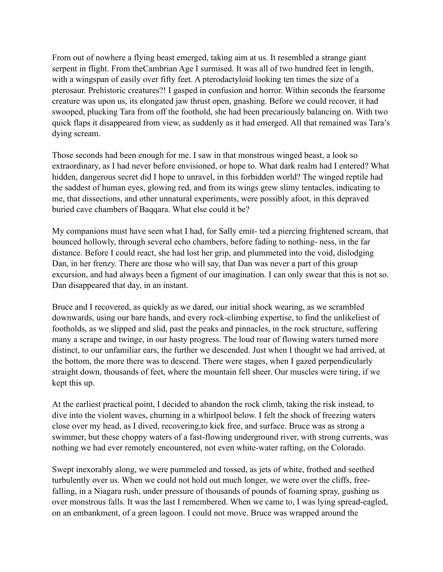From out of nowhere a flying beast emerged, taking aim at us. It resembled a strange giant serpent in flight. From theCambrian Age I surmised. It was all of two hundred feet in length, with a wingspan of easily over fifty feet. A pterodactyloid looking ten times the size of a pterosaur. Prehistoric creatures?! I gasped in confusion and horror. Within seconds the fearsome creature was upon us, its elongated jaw thrust open, gnashing. Before we could recover, it had swooped, plucking Tara from off the foothold, she had been precariously balancing on. With two quick flaps it disappeared from view, as suddenly as it had emerged. All that remained was Tara's dying scream.

Those seconds had been enough for me. I saw in that monstrous winged beast, a look so extraordinary, as I had never before envisioned, or hope to. What dark realm had I entered? What hidden, dangerous secret did I hope to unravel, in this forbidden world? The winged reptile had the saddest of human eyes, glowing red, and from its wings grew slimy tentacles, indicating to me, that dissections, and other unnatural experiments, were possibly afoot, in this depraved buried cave chambers of Baqqara. What else could it be?

My companions must have seen what I had, for Sally emit- ted a piercing frightened scream, that bounced hollowly, through several echo chambers, before fading to nothing- ness, in the far distance. Before I could react, she had lost her grip, and plummeted into the void, dislodging Dan, in her frenzy. There are those who will say, that Dan was never a part of this group excursion, and had always been a figment of our imagination. I can only swear that this is not so. Dan disappeared that day, in an instant.

Bruce and I recovered, as quickly as we dared, our initial shock wearing, as we scrambled downwards, using our bare hands, and every rock-climbing expertise, to find the unlikeliest of footholds, as we slipped and slid, past the peaks and pinnacles, in the rock structure, suffering many a scrape and twinge, in our hasty progress. The loud roar of flowing waters turned more distinct, to our unfamiliar ears, the further we descended. Just when I thought we had arrived, at the bottom, the more there was to descend. There were stages, when I gazed perpendicularly straight down, thousands of feet, where the mountain fell sheer. Our muscles were tiring, if we kept this up.

At the earliest practical point, I decided to abandon the rock climb, taking the risk instead, to dive into the violent waves, churning in a whirlpool below. I felt the shock of freezing waters close over my head, as I dived, recovering,to kick free, and surface. Bruce was as strong a swimmer, but these choppy waters of a fast-flowing underground river, with strong currents, was nothing we had ever remotely encountered, not even white-water rafting, on the Colorado.

Swept inexorably along, we were pummeled and tossed, as jets of white, frothed and seethed turbulently over us. When we could not hold out much longer, we were over the cliffs, freefalling, in a Niagara rush, under pressure of thousands of pounds of foaming spray, gushing us over monstrous falls. It was the last I remembered. When we came to, I was lying spread-eagled, on an embankment, of a green lagoon. I could not move. Bruce was wrapped around the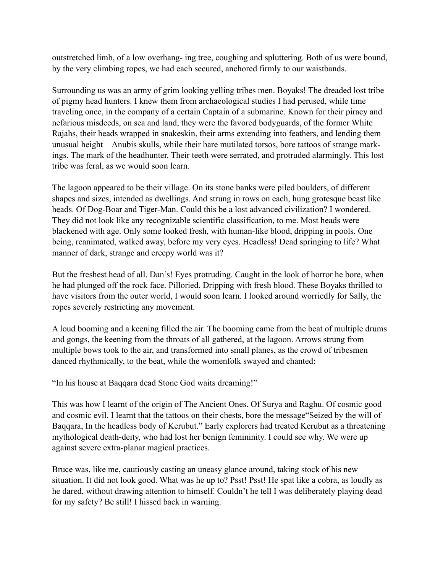outstretched limb, of a low overhang- ing tree, coughing and spluttering. Both of us were bound, by the very climbing ropes, we had each secured, anchored firmly to our waistbands.

Surrounding us was an army of grim looking yelling tribes men. Boyaks! The dreaded lost tribe of pigmy head hunters. I knew them from archaeological studies I had perused, while time traveling once, in the company of a certain Captain of a submarine. Known for their piracy and nefarious misdeeds, on sea and land, they were the favored bodyguards, of the former White Rajahs, their heads wrapped in snakeskin, their arms extending into feathers, and lending them unusual height—Anubis skulls, while their bare mutilated torsos, bore tattoos of strange markings. The mark of the headhunter. Their teeth were serrated, and protruded alarmingly. This lost tribe was feral, as we would soon learn.

The lagoon appeared to be their village. On its stone banks were piled boulders, of different shapes and sizes, intended as dwellings. And strung in rows on each, hung grotesque beast like heads. Of Dog-Boar and Tiger-Man. Could this be a lost advanced civilization? I wondered. They did not look like any recognizable scientific classification, to me. Most heads were blackened with age. Only some looked fresh, with human-like blood, dripping in pools. One being, reanimated, walked away, before my very eyes. Headless! Dead springing to life? What manner of dark, strange and creepy world was it?

But the freshest head of all. Dan's! Eyes protruding. Caught in the look of horror he bore, when he had plunged off the rock face. Pilloried. Dripping with fresh blood. These Boyaks thrilled to have visitors from the outer world, I would soon learn. I looked around worriedly for Sally, the ropes severely restricting any movement.

A loud booming and a keening filled the air. The booming came from the beat of multiple drums and gongs, the keening from the throats of all gathered, at the lagoon. Arrows strung from multiple bows took to the air, and transformed into small planes, as the crowd of tribesmen danced rhythmically, to the beat, while the womenfolk swayed and chanted:

"In his house at Baqqara dead Stone God waits dreaming!"

This was how I learnt of the origin of The Ancient Ones. Of Surya and Raghu. Of cosmic good and cosmic evil. I learnt that the tattoos on their chests, bore the message"Seized by the will of Baqqara, In the headless body of Kerubut." Early explorers had treated Kerubut as a threatening mythological death-deity, who had lost her benign femininity. I could see why. We were up against severe extra-planar magical practices.

Bruce was, like me, cautiously casting an uneasy glance around, taking stock of his new situation. It did not look good. What was he up to? Psst! Psst! He spat like a cobra, as loudly as he dared, without drawing attention to himself. Couldn't he tell I was deliberately playing dead for my safety? Be still! I hissed back in warning.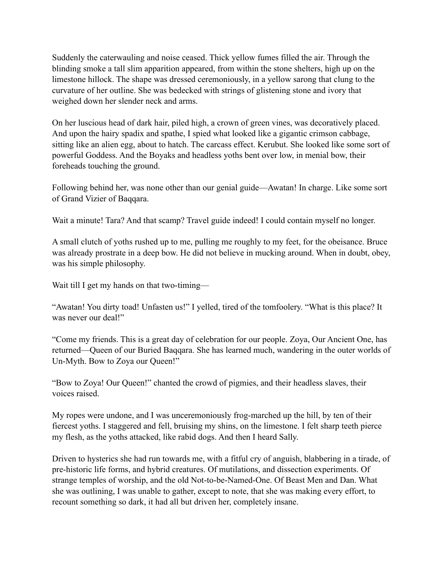Suddenly the caterwauling and noise ceased. Thick yellow fumes filled the air. Through the blinding smoke a tall slim apparition appeared, from within the stone shelters, high up on the limestone hillock. The shape was dressed ceremoniously, in a yellow sarong that clung to the curvature of her outline. She was bedecked with strings of glistening stone and ivory that weighed down her slender neck and arms.

On her luscious head of dark hair, piled high, a crown of green vines, was decoratively placed. And upon the hairy spadix and spathe, I spied what looked like a gigantic crimson cabbage, sitting like an alien egg, about to hatch. The carcass effect. Kerubut. She looked like some sort of powerful Goddess. And the Boyaks and headless yoths bent over low, in menial bow, their foreheads touching the ground.

Following behind her, was none other than our genial guide—Awatan! In charge. Like some sort of Grand Vizier of Baqqara.

Wait a minute! Tara? And that scamp? Travel guide indeed! I could contain myself no longer.

A small clutch of yoths rushed up to me, pulling me roughly to my feet, for the obeisance. Bruce was already prostrate in a deep bow. He did not believe in mucking around. When in doubt, obey, was his simple philosophy.

Wait till I get my hands on that two-timing—

"Awatan! You dirty toad! Unfasten us!" I yelled, tired of the tomfoolery. "What is this place? It was never our deal!"

"Come my friends. This is a great day of celebration for our people. Zoya, Our Ancient One, has returned—Queen of our Buried Baqqara. She has learned much, wandering in the outer worlds of Un-Myth. Bow to Zoya our Queen!"

"Bow to Zoya! Our Queen!" chanted the crowd of pigmies, and their headless slaves, their voices raised.

My ropes were undone, and I was unceremoniously frog-marched up the hill, by ten of their fiercest yoths. I staggered and fell, bruising my shins, on the limestone. I felt sharp teeth pierce my flesh, as the yoths attacked, like rabid dogs. And then I heard Sally.

Driven to hysterics she had run towards me, with a fitful cry of anguish, blabbering in a tirade, of pre-historic life forms, and hybrid creatures. Of mutilations, and dissection experiments. Of strange temples of worship, and the old Not-to-be-Named-One. Of Beast Men and Dan. What she was outlining, I was unable to gather, except to note, that she was making every effort, to recount something so dark, it had all but driven her, completely insane.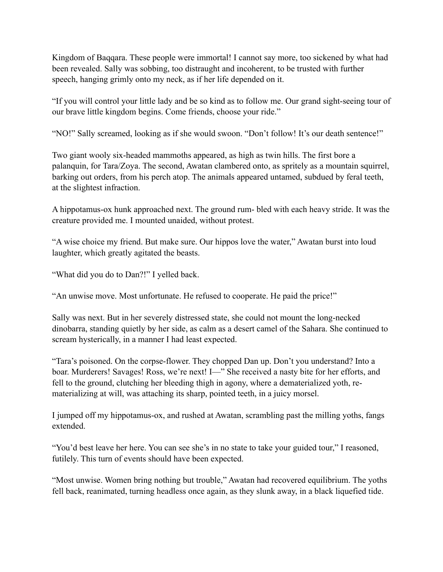Kingdom of Baqqara. These people were immortal! I cannot say more, too sickened by what had been revealed. Sally was sobbing, too distraught and incoherent, to be trusted with further speech, hanging grimly onto my neck, as if her life depended on it.

"If you will control your little lady and be so kind as to follow me. Our grand sight-seeing tour of our brave little kingdom begins. Come friends, choose your ride."

"NO!" Sally screamed, looking as if she would swoon. "Don't follow! It's our death sentence!"

Two giant wooly six-headed mammoths appeared, as high as twin hills. The first bore a palanquin, for Tara/Zoya. The second, Awatan clambered onto, as spritely as a mountain squirrel, barking out orders, from his perch atop. The animals appeared untamed, subdued by feral teeth, at the slightest infraction.

A hippotamus-ox hunk approached next. The ground rum- bled with each heavy stride. It was the creature provided me. I mounted unaided, without protest.

"A wise choice my friend. But make sure. Our hippos love the water," Awatan burst into loud laughter, which greatly agitated the beasts.

"What did you do to Dan?!" I yelled back.

"An unwise move. Most unfortunate. He refused to cooperate. He paid the price!"

Sally was next. But in her severely distressed state, she could not mount the long-necked dinobarra, standing quietly by her side, as calm as a desert camel of the Sahara. She continued to scream hysterically, in a manner I had least expected.

"Tara's poisoned. On the corpse-flower. They chopped Dan up. Don't you understand? Into a boar. Murderers! Savages! Ross, we're next! I—" She received a nasty bite for her efforts, and fell to the ground, clutching her bleeding thigh in agony, where a dematerialized yoth, rematerializing at will, was attaching its sharp, pointed teeth, in a juicy morsel.

I jumped off my hippotamus-ox, and rushed at Awatan, scrambling past the milling yoths, fangs extended.

"You'd best leave her here. You can see she's in no state to take your guided tour," I reasoned, futilely. This turn of events should have been expected.

"Most unwise. Women bring nothing but trouble," Awatan had recovered equilibrium. The yoths fell back, reanimated, turning headless once again, as they slunk away, in a black liquefied tide.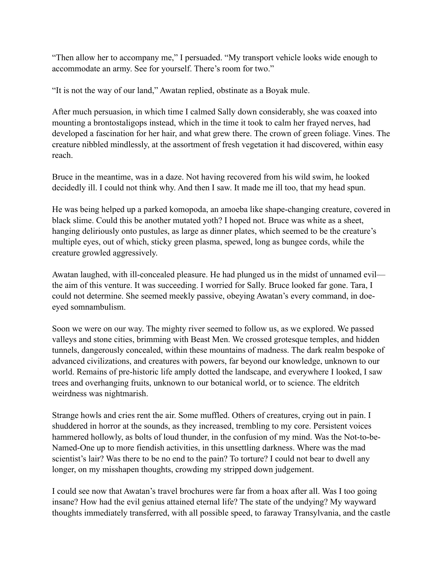"Then allow her to accompany me," I persuaded. "My transport vehicle looks wide enough to accommodate an army. See for yourself. There's room for two."

"It is not the way of our land," Awatan replied, obstinate as a Boyak mule.

After much persuasion, in which time I calmed Sally down considerably, she was coaxed into mounting a brontostaligops instead, which in the time it took to calm her frayed nerves, had developed a fascination for her hair, and what grew there. The crown of green foliage. Vines. The creature nibbled mindlessly, at the assortment of fresh vegetation it had discovered, within easy reach.

Bruce in the meantime, was in a daze. Not having recovered from his wild swim, he looked decidedly ill. I could not think why. And then I saw. It made me ill too, that my head spun.

He was being helped up a parked komopoda, an amoeba like shape-changing creature, covered in black slime. Could this be another mutated yoth? I hoped not. Bruce was white as a sheet, hanging deliriously onto pustules, as large as dinner plates, which seemed to be the creature's multiple eyes, out of which, sticky green plasma, spewed, long as bungee cords, while the creature growled aggressively.

Awatan laughed, with ill-concealed pleasure. He had plunged us in the midst of unnamed evil the aim of this venture. It was succeeding. I worried for Sally. Bruce looked far gone. Tara, I could not determine. She seemed meekly passive, obeying Awatan's every command, in doeeyed somnambulism.

Soon we were on our way. The mighty river seemed to follow us, as we explored. We passed valleys and stone cities, brimming with Beast Men. We crossed grotesque temples, and hidden tunnels, dangerously concealed, within these mountains of madness. The dark realm bespoke of advanced civilizations, and creatures with powers, far beyond our knowledge, unknown to our world. Remains of pre-historic life amply dotted the landscape, and everywhere I looked, I saw trees and overhanging fruits, unknown to our botanical world, or to science. The eldritch weirdness was nightmarish.

Strange howls and cries rent the air. Some muffled. Others of creatures, crying out in pain. I shuddered in horror at the sounds, as they increased, trembling to my core. Persistent voices hammered hollowly, as bolts of loud thunder, in the confusion of my mind. Was the Not-to-be-Named-One up to more fiendish activities, in this unsettling darkness. Where was the mad scientist's lair? Was there to be no end to the pain? To torture? I could not bear to dwell any longer, on my misshapen thoughts, crowding my stripped down judgement.

I could see now that Awatan's travel brochures were far from a hoax after all. Was I too going insane? How had the evil genius attained eternal life? The state of the undying? My wayward thoughts immediately transferred, with all possible speed, to faraway Transylvania, and the castle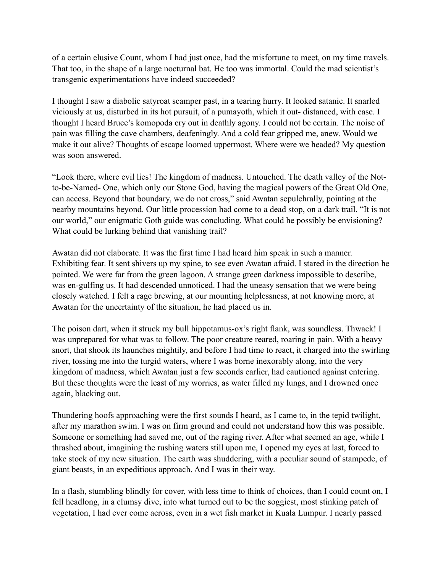of a certain elusive Count, whom I had just once, had the misfortune to meet, on my time travels. That too, in the shape of a large nocturnal bat. He too was immortal. Could the mad scientist's transgenic experimentations have indeed succeeded?

I thought I saw a diabolic satyroat scamper past, in a tearing hurry. It looked satanic. It snarled viciously at us, disturbed in its hot pursuit, of a pumayoth, which it out- distanced, with ease. I thought I heard Bruce's komopoda cry out in deathly agony. I could not be certain. The noise of pain was filling the cave chambers, deafeningly. And a cold fear gripped me, anew. Would we make it out alive? Thoughts of escape loomed uppermost. Where were we headed? My question was soon answered.

"Look there, where evil lies! The kingdom of madness. Untouched. The death valley of the Notto-be-Named- One, which only our Stone God, having the magical powers of the Great Old One, can access. Beyond that boundary, we do not cross," said Awatan sepulchrally, pointing at the nearby mountains beyond. Our little procession had come to a dead stop, on a dark trail. "It is not our world," our enigmatic Goth guide was concluding. What could he possibly be envisioning? What could be lurking behind that vanishing trail?

Awatan did not elaborate. It was the first time I had heard him speak in such a manner. Exhibiting fear. It sent shivers up my spine, to see even Awatan afraid. I stared in the direction he pointed. We were far from the green lagoon. A strange green darkness impossible to describe, was en-gulfing us. It had descended unnoticed. I had the uneasy sensation that we were being closely watched. I felt a rage brewing, at our mounting helplessness, at not knowing more, at Awatan for the uncertainty of the situation, he had placed us in.

The poison dart, when it struck my bull hippotamus-ox's right flank, was soundless. Thwack! I was unprepared for what was to follow. The poor creature reared, roaring in pain. With a heavy snort, that shook its haunches mightily, and before I had time to react, it charged into the swirling river, tossing me into the turgid waters, where I was borne inexorably along, into the very kingdom of madness, which Awatan just a few seconds earlier, had cautioned against entering. But these thoughts were the least of my worries, as water filled my lungs, and I drowned once again, blacking out.

Thundering hoofs approaching were the first sounds I heard, as I came to, in the tepid twilight, after my marathon swim. I was on firm ground and could not understand how this was possible. Someone or something had saved me, out of the raging river. After what seemed an age, while I thrashed about, imagining the rushing waters still upon me, I opened my eyes at last, forced to take stock of my new situation. The earth was shuddering, with a peculiar sound of stampede, of giant beasts, in an expeditious approach. And I was in their way.

In a flash, stumbling blindly for cover, with less time to think of choices, than I could count on, I fell headlong, in a clumsy dive, into what turned out to be the soggiest, most stinking patch of vegetation, I had ever come across, even in a wet fish market in Kuala Lumpur. I nearly passed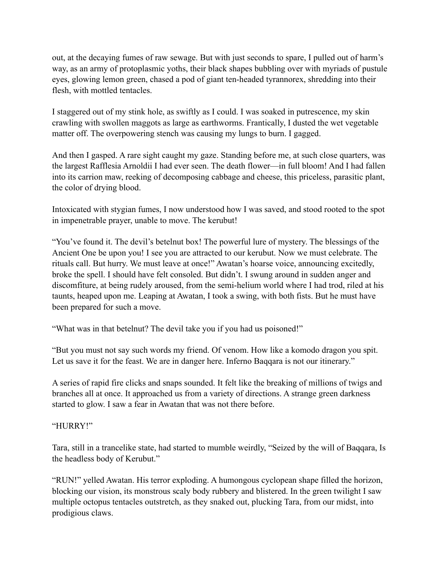out, at the decaying fumes of raw sewage. But with just seconds to spare, I pulled out of harm's way, as an army of protoplasmic yoths, their black shapes bubbling over with myriads of pustule eyes, glowing lemon green, chased a pod of giant ten-headed tyrannorex, shredding into their flesh, with mottled tentacles.

I staggered out of my stink hole, as swiftly as I could. I was soaked in putrescence, my skin crawling with swollen maggots as large as earthworms. Frantically, I dusted the wet vegetable matter off. The overpowering stench was causing my lungs to burn. I gagged.

And then I gasped. A rare sight caught my gaze. Standing before me, at such close quarters, was the largest Rafflesia Arnoldii I had ever seen. The death flower—in full bloom! And I had fallen into its carrion maw, reeking of decomposing cabbage and cheese, this priceless, parasitic plant, the color of drying blood.

Intoxicated with stygian fumes, I now understood how I was saved, and stood rooted to the spot in impenetrable prayer, unable to move. The kerubut!

"You've found it. The devil's betelnut box! The powerful lure of mystery. The blessings of the Ancient One be upon you! I see you are attracted to our kerubut. Now we must celebrate. The rituals call. But hurry. We must leave at once!" Awatan's hoarse voice, announcing excitedly, broke the spell. I should have felt consoled. But didn't. I swung around in sudden anger and discomfiture, at being rudely aroused, from the semi-helium world where I had trod, riled at his taunts, heaped upon me. Leaping at Awatan, I took a swing, with both fists. But he must have been prepared for such a move.

"What was in that betelnut? The devil take you if you had us poisoned!"

"But you must not say such words my friend. Of venom. How like a komodo dragon you spit. Let us save it for the feast. We are in danger here. Inferno Baqqara is not our itinerary."

A series of rapid fire clicks and snaps sounded. It felt like the breaking of millions of twigs and branches all at once. It approached us from a variety of directions. A strange green darkness started to glow. I saw a fear in Awatan that was not there before.

## "HURRY!"

Tara, still in a trancelike state, had started to mumble weirdly, "Seized by the will of Baqqara, Is the headless body of Kerubut."

"RUN!" yelled Awatan. His terror exploding. A humongous cyclopean shape filled the horizon, blocking our vision, its monstrous scaly body rubbery and blistered. In the green twilight I saw multiple octopus tentacles outstretch, as they snaked out, plucking Tara, from our midst, into prodigious claws.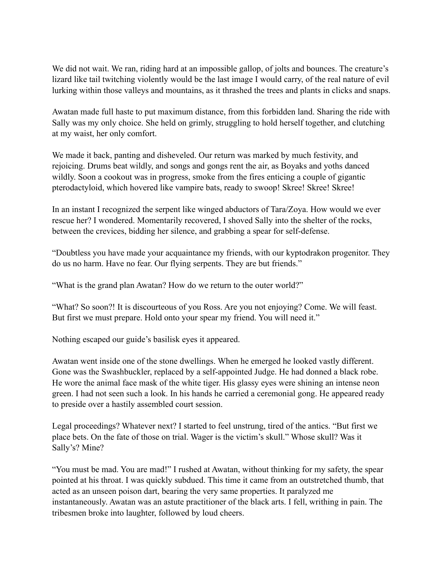We did not wait. We ran, riding hard at an impossible gallop, of jolts and bounces. The creature's lizard like tail twitching violently would be the last image I would carry, of the real nature of evil lurking within those valleys and mountains, as it thrashed the trees and plants in clicks and snaps.

Awatan made full haste to put maximum distance, from this forbidden land. Sharing the ride with Sally was my only choice. She held on grimly, struggling to hold herself together, and clutching at my waist, her only comfort.

We made it back, panting and disheveled. Our return was marked by much festivity, and rejoicing. Drums beat wildly, and songs and gongs rent the air, as Boyaks and yoths danced wildly. Soon a cookout was in progress, smoke from the fires enticing a couple of gigantic pterodactyloid, which hovered like vampire bats, ready to swoop! Skree! Skree! Skree!

In an instant I recognized the serpent like winged abductors of Tara/Zoya. How would we ever rescue her? I wondered. Momentarily recovered, I shoved Sally into the shelter of the rocks, between the crevices, bidding her silence, and grabbing a spear for self-defense.

"Doubtless you have made your acquaintance my friends, with our kyptodrakon progenitor. They do us no harm. Have no fear. Our flying serpents. They are but friends."

"What is the grand plan Awatan? How do we return to the outer world?"

"What? So soon?! It is discourteous of you Ross. Are you not enjoying? Come. We will feast. But first we must prepare. Hold onto your spear my friend. You will need it."

Nothing escaped our guide's basilisk eyes it appeared.

Awatan went inside one of the stone dwellings. When he emerged he looked vastly different. Gone was the Swashbuckler, replaced by a self-appointed Judge. He had donned a black robe. He wore the animal face mask of the white tiger. His glassy eyes were shining an intense neon green. I had not seen such a look. In his hands he carried a ceremonial gong. He appeared ready to preside over a hastily assembled court session.

Legal proceedings? Whatever next? I started to feel unstrung, tired of the antics. "But first we place bets. On the fate of those on trial. Wager is the victim's skull." Whose skull? Was it Sally's? Mine?

"You must be mad. You are mad!" I rushed at Awatan, without thinking for my safety, the spear pointed at his throat. I was quickly subdued. This time it came from an outstretched thumb, that acted as an unseen poison dart, bearing the very same properties. It paralyzed me instantaneously. Awatan was an astute practitioner of the black arts. I fell, writhing in pain. The tribesmen broke into laughter, followed by loud cheers.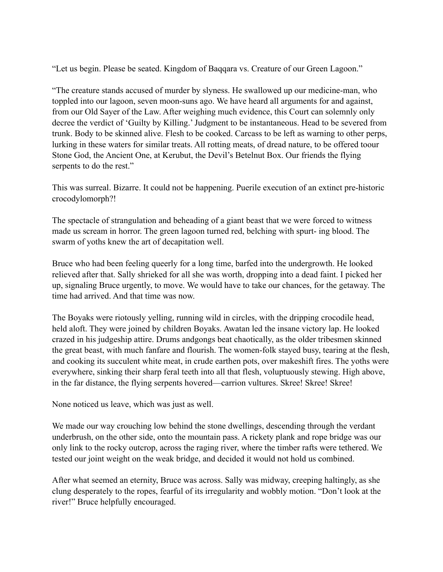"Let us begin. Please be seated. Kingdom of Baqqara vs. Creature of our Green Lagoon."

"The creature stands accused of murder by slyness. He swallowed up our medicine-man, who toppled into our lagoon, seven moon-suns ago. We have heard all arguments for and against, from our Old Sayer of the Law. After weighing much evidence, this Court can solemnly only decree the verdict of 'Guilty by Killing.' Judgment to be instantaneous. Head to be severed from trunk. Body to be skinned alive. Flesh to be cooked. Carcass to be left as warning to other perps, lurking in these waters for similar treats. All rotting meats, of dread nature, to be offered toour Stone God, the Ancient One, at Kerubut, the Devil's Betelnut Box. Our friends the flying serpents to do the rest."

This was surreal. Bizarre. It could not be happening. Puerile execution of an extinct pre-historic crocodylomorph?!

The spectacle of strangulation and beheading of a giant beast that we were forced to witness made us scream in horror. The green lagoon turned red, belching with spurt- ing blood. The swarm of yoths knew the art of decapitation well.

Bruce who had been feeling queerly for a long time, barfed into the undergrowth. He looked relieved after that. Sally shrieked for all she was worth, dropping into a dead faint. I picked her up, signaling Bruce urgently, to move. We would have to take our chances, for the getaway. The time had arrived. And that time was now.

The Boyaks were riotously yelling, running wild in circles, with the dripping crocodile head, held aloft. They were joined by children Boyaks. Awatan led the insane victory lap. He looked crazed in his judgeship attire. Drums andgongs beat chaotically, as the older tribesmen skinned the great beast, with much fanfare and flourish. The women-folk stayed busy, tearing at the flesh, and cooking its succulent white meat, in crude earthen pots, over makeshift fires. The yoths were everywhere, sinking their sharp feral teeth into all that flesh, voluptuously stewing. High above, in the far distance, the flying serpents hovered—carrion vultures. Skree! Skree! Skree!

None noticed us leave, which was just as well.

We made our way crouching low behind the stone dwellings, descending through the verdant underbrush, on the other side, onto the mountain pass. A rickety plank and rope bridge was our only link to the rocky outcrop, across the raging river, where the timber rafts were tethered. We tested our joint weight on the weak bridge, and decided it would not hold us combined.

After what seemed an eternity, Bruce was across. Sally was midway, creeping haltingly, as she clung desperately to the ropes, fearful of its irregularity and wobbly motion. "Don't look at the river!" Bruce helpfully encouraged.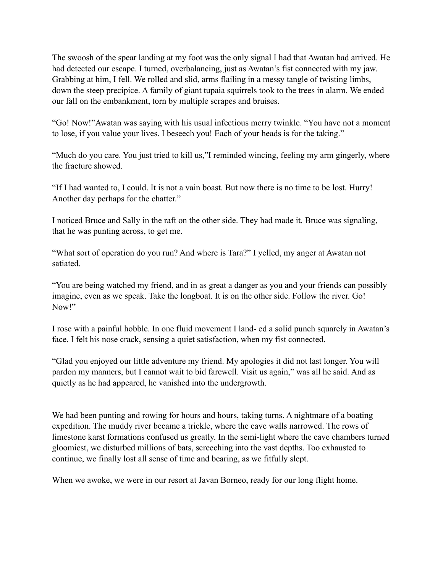The swoosh of the spear landing at my foot was the only signal I had that Awatan had arrived. He had detected our escape. I turned, overbalancing, just as Awatan's fist connected with my jaw. Grabbing at him, I fell. We rolled and slid, arms flailing in a messy tangle of twisting limbs, down the steep precipice. A family of giant tupaia squirrels took to the trees in alarm. We ended our fall on the embankment, torn by multiple scrapes and bruises.

"Go! Now!"Awatan was saying with his usual infectious merry twinkle. "You have not a moment to lose, if you value your lives. I beseech you! Each of your heads is for the taking."

"Much do you care. You just tried to kill us,"I reminded wincing, feeling my arm gingerly, where the fracture showed.

"If I had wanted to, I could. It is not a vain boast. But now there is no time to be lost. Hurry! Another day perhaps for the chatter."

I noticed Bruce and Sally in the raft on the other side. They had made it. Bruce was signaling, that he was punting across, to get me.

"What sort of operation do you run? And where is Tara?" I yelled, my anger at Awatan not satiated.

"You are being watched my friend, and in as great a danger as you and your friends can possibly imagine, even as we speak. Take the longboat. It is on the other side. Follow the river. Go! Now!"

I rose with a painful hobble. In one fluid movement I land- ed a solid punch squarely in Awatan's face. I felt his nose crack, sensing a quiet satisfaction, when my fist connected.

"Glad you enjoyed our little adventure my friend. My apologies it did not last longer. You will pardon my manners, but I cannot wait to bid farewell. Visit us again," was all he said. And as quietly as he had appeared, he vanished into the undergrowth.

We had been punting and rowing for hours and hours, taking turns. A nightmare of a boating expedition. The muddy river became a trickle, where the cave walls narrowed. The rows of limestone karst formations confused us greatly. In the semi-light where the cave chambers turned gloomiest, we disturbed millions of bats, screeching into the vast depths. Too exhausted to continue, we finally lost all sense of time and bearing, as we fitfully slept.

When we awoke, we were in our resort at Javan Borneo, ready for our long flight home.